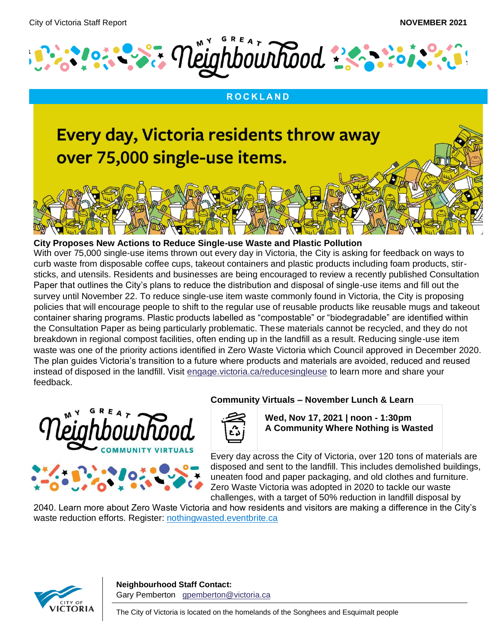

#### **R O C K L A N D**

# Every day, Victoria residents throw away over 75,000 single-use items.

#### **City Proposes New Actions to Reduce Single-use Waste and Plastic Pollution**

With over 75,000 single-use items thrown out every day in Victoria, the City is asking for feedback on ways to curb waste from disposable coffee cups, takeout containers and plastic products including foam products, stirsticks, and utensils. Residents and businesses are being encouraged to review a recently published Consultation Paper that outlines the City's plans to reduce the distribution and disposal of single-use items and fill out the survey until November 22. To reduce single-use item waste commonly found in Victoria, the City is proposing policies that will encourage people to shift to the regular use of reusable products like reusable mugs and takeout container sharing programs. Plastic products labelled as "compostable" or "biodegradable" are identified within the Consultation Paper as being particularly problematic. These materials cannot be recycled, and they do not breakdown in regional compost facilities, often ending up in the landfill as a result. Reducing single-use item waste was one of the priority actions identified in Zero Waste Victoria which Council approved in December 2020. The plan guides Victoria's transition to a future where products and materials are avoided, reduced and reused instead of disposed in the landfill. Visit [engage.victoria.ca/reducesingleuse](https://can01.safelinks.protection.outlook.com/?url=https%3A%2F%2Fengage.victoria.ca%2Freducesingleuse&data=04%7C01%7Ckstratford%40victoria.ca%7C462ab3f19fba49ffe53908d994072a07%7Cd7098116c6e84d2a89eedb15b6c23375%7C0%7C0%7C637703581066327551%7CUnknown%7CTWFpbGZsb3d8eyJWIjoiMC4wLjAwMDAiLCJQIjoiV2luMzIiLCJBTiI6Ik1haWwiLCJXVCI6Mn0%3D%7C1000&sdata=7BMT2HIUGtkf%2BtMnfqcIopQIxsk78uR7w8MrHEulv24%3D&reserved=0) to learn more and share your feedback.



#### **Community Virtuals – November Lunch & Learn**



**Wed, Nov 17, 2021 | noon - 1:30pm A Community Where Nothing is Wasted**

Every day across the City of Victoria, over 120 tons of materials are disposed and sent to the landfill. This includes demolished buildings, uneaten food and paper packaging, and old clothes and furniture. Zero Waste Victoria was adopted in 2020 to tackle our waste challenges, with a target of 50% reduction in landfill disposal by

2040. Learn more about Zero Waste Victoria and how residents and visitors are making a difference in the City's waste reduction efforts. Register: [nothingwasted.eventbrite.ca](https://nothingwasted.eventbrite.ca/)

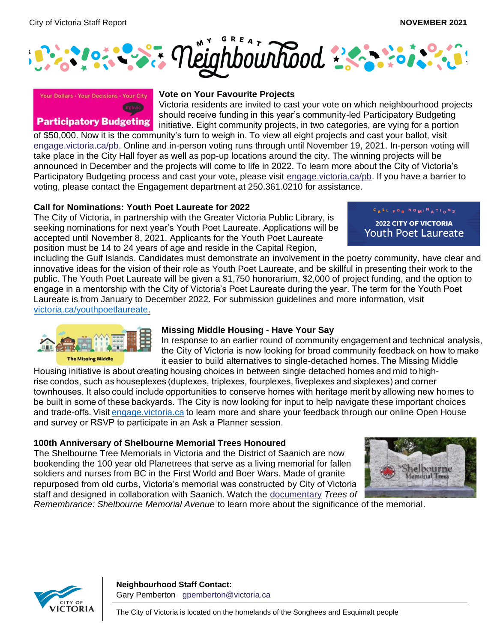



#### **Participatory Budgeting**

#### **Vote on Your Favourite Projects**

Victoria residents are invited to cast your vote on which neighbourhood projects should receive funding in this year's community-led Participatory Budgeting initiative. Eight community projects, in two categories, are vying for a portion

of \$50,000. Now it is the community's turn to weigh in. To view all eight projects and cast your ballot, visit [engage.victoria.ca/pb.](https://can01.safelinks.protection.outlook.com/?url=https%3A%2F%2Fengage.victoria.ca%2Fpb&data=04%7C01%7Ckstratford%40victoria.ca%7Cf03a245939d540f52e5608d993285fc1%7Cd7098116c6e84d2a89eedb15b6c23375%7C0%7C0%7C637702624035894823%7CUnknown%7CTWFpbGZsb3d8eyJWIjoiMC4wLjAwMDAiLCJQIjoiV2luMzIiLCJBTiI6Ik1haWwiLCJXVCI6Mn0%3D%7C1000&sdata=dUPMvYJDXfdNyngkBzyXzAJQJbWOCmZED%2FCNwFGrO18%3D&reserved=0) Online and in-person voting runs through until November 19, 2021. In-person voting will take place in the City Hall foyer as well as pop-up locations around the city. The winning projects will be announced in December and the projects will come to life in 2022. To learn more about the City of Victoria's Participatory Budgeting process and cast your vote, please visit [engage.victoria.ca/pb.](https://can01.safelinks.protection.outlook.com/?url=https%3A%2F%2Fengage.victoria.ca%2Fpb&data=04%7C01%7Ckstratford%40victoria.ca%7Cf03a245939d540f52e5608d993285fc1%7Cd7098116c6e84d2a89eedb15b6c23375%7C0%7C0%7C637702624035904781%7CUnknown%7CTWFpbGZsb3d8eyJWIjoiMC4wLjAwMDAiLCJQIjoiV2luMzIiLCJBTiI6Ik1haWwiLCJXVCI6Mn0%3D%7C1000&sdata=SPGte2DIm3hT1zL0wO3KqvM9cz6Df93Pg04Ld41hwoA%3D&reserved=0) If you have a barrier to voting, please contact the Engagement department at 250.361.0210 for assistance.

### **Call for Nominations: Youth Poet Laureate for 2022**

The City of Victoria, in partnership with the Greater Victoria Public Library, is seeking nominations for next year's Youth Poet Laureate. Applications will be accepted until November 8, 2021. Applicants for the Youth Poet Laureate position must be 14 to 24 years of age and reside in the Capital Region,

CALL FOR NOMI<sup>N</sup>ATIONS

**2022 CITY OF VICTORIA** Youth Poet Laureate

including the Gulf Islands. Candidates must demonstrate an involvement in the poetry community, have clear and innovative ideas for the vision of their role as Youth Poet Laureate, and be skillful in presenting their work to the public. The Youth Poet Laureate will be given a \$1,750 honorarium, \$2,000 of project funding, and the option to engage in a mentorship with the City of Victoria's Poet Laureate during the year. The term for the Youth Poet Laureate is from January to December 2022. For submission guidelines and more information, visit [victoria.ca/youthpoetlaureate](https://can01.safelinks.protection.outlook.com/?url=https%3A%2F%2Fwww.victoria.ca%2FEN%2Fmain%2Fresidents%2Fculture%2Fpoet-laureate%2F2019-youth-poet-laureate.html&data=04%7C01%7Ckstratford%40victoria.ca%7Cd511360160b34d43c79008d98e716dd1%7Cd7098116c6e84d2a89eedb15b6c23375%7C0%7C0%7C637697440266583438%7CUnknown%7CTWFpbGZsb3d8eyJWIjoiMC4wLjAwMDAiLCJQIjoiV2luMzIiLCJBTiI6Ik1haWwiLCJXVCI6Mn0%3D%7C1000&sdata=CxGLW7H3MhM6cuP2LZCHP5PO%2B6dH0720uirDUB3bHCk%3D&reserved=0)[.](https://can01.safelinks.protection.outlook.com/?url=https%3A%2F%2Fwww.victoria.ca%2FEN%2Fmain%2Fresidents%2Fculture%2Fpoet-laureate-and-youth-poet-laureate.html&data=04%7C01%7Ckstratford%40victoria.ca%7Cd511360160b34d43c79008d98e716dd1%7Cd7098116c6e84d2a89eedb15b6c23375%7C0%7C0%7C637697440266653144%7CUnknown%7CTWFpbGZsb3d8eyJWIjoiMC4wLjAwMDAiLCJQIjoiV2luMzIiLCJBTiI6Ik1haWwiLCJXVCI6Mn0%3D%7C1000&sdata=GGvFraSnwJOw1JIyM%2BVScbo0%2B9VldmvD1xRzXvwpitA%3D&reserved=0)



#### **Missing Middle Housing - Have Your Say**

In response to an earlier round of community engagement and technical analysis, the City of Victoria is now looking for broad community feedback on how to make it easier to build alternatives to single-detached homes. The Missing Middle

Housing initiative is about creating housing choices in between single detached homes and mid to highrise condos, such as houseplexes (duplexes, triplexes, fourplexes, fiveplexes and sixplexes) and corner townhouses. It also could include opportunities to conserve homes with heritage merit by allowing new homes to be built in some of these backyards. The City is now looking for input to help navigate these important choices and trade-offs. Visi[t engage.victoria.ca](https://engage.victoria.ca/)to learn more and share your feedback through our online Open House and survey or RSVP to participate in an Ask a Planner session. 

### **100th Anniversary of Shelbourne Memorial Trees Honoured**

The Shelbourne Tree Memorials in Victoria and the District of Saanich are now bookending the 100 year old Planetrees that serve as a living memorial for fallen soldiers and nurses from BC in the First World and Boer Wars. Made of granite repurposed from old curbs, Victoria's memorial was constructed by City of Victoria staff and designed in collaboration with Saanich. Watch the [documentary](https://youtu.be/4uqV7cTNDz4) *Trees of* 



*Remembrance: Shelbourne Memorial Avenue* to learn more about the significance of the memorial.

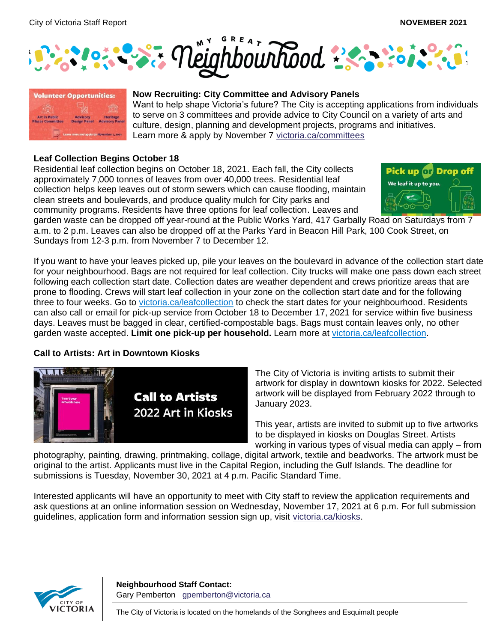



### **Now Recruiting: City Committee and Advisory Panels**

Want to help shape Victoria's future? The City is accepting applications from individuals to serve on 3 committees and provide advice to City Council on a variety of arts and culture, design, planning and development projects, programs and initiatives. Learn more & apply by November 7 [victoria.ca/committees](http://victoria.ca/committees?fbclid=IwAR33Y8ZZcoDwQrJ8UfuMcN-Vo5TLc6b47Mk9VhElheKZY2WS2SP95KxtHzs)

#### **Leaf Collection Begins October 18**

Residential leaf collection begins on October 18, 2021. Each fall, the City collects approximately 7,000 tonnes of leaves from over 40,000 trees. Residential leaf collection helps keep leaves out of storm sewers which can cause flooding, maintain clean streets and boulevards, and produce quality mulch for City parks and community programs. Residents have three options for leaf collection. Leaves and



garden waste can be dropped off year-round at the Public Works Yard, 417 Garbally Road on Saturdays from 7 a.m. to 2 p.m. Leaves can also be dropped off at the Parks Yard in Beacon Hill Park, 100 Cook Street, on Sundays from 12-3 p.m. from November 7 to December 12.

If you want to have your leaves picked up, pile your leaves on the boulevard in advance of the collection start date for your neighbourhood. Bags are not required for leaf collection. City trucks will make one pass down each street following each collection start date. Collection dates are weather dependent and crews prioritize areas that are prone to flooding. Crews will start leaf collection in your zone on the collection start date and for the following three to four weeks. Go to [victoria.ca/leafcollection](https://www.victoria.ca/EN/main/residents/parks/leaf-collection.html) to check the start dates for your neighbourhood. Residents can also call or email for pick-up service from October 18 to December 17, 2021 for service within five business days. Leaves must be bagged in clear, certified-compostable bags. Bags must contain leaves only, no other garden waste accepted. **Limit one pick-up per household.** Learn more at [victoria.ca/leafcollection.](https://www.victoria.ca/EN/main/residents/parks/leaf-collection.html)

### **Call to Artists: Art in Downtown Kiosks**



The City of Victoria is inviting artists to submit their artwork for display in downtown kiosks for 2022. Selected artwork will be displayed from February 2022 through to January 2023.

This year, artists are invited to submit up to five artworks to be displayed in kiosks on Douglas Street. Artists working in various types of visual media can apply – from

photography, painting, drawing, printmaking, collage, digital artwork, textile and beadworks. The artwork must be original to the artist. Applicants must live in the Capital Region, including the Gulf Islands. The deadline for submissions is Tuesday, November 30, 2021 at 4 p.m. Pacific Standard Time.

Interested applicants will have an opportunity to meet with City staff to review the application requirements and ask questions at an online information session on Wednesday, November 17, 2021 at 6 p.m. For full submission guidelines, application form and information session sign up, visit [victoria.ca/kiosks.](https://can01.safelinks.protection.outlook.com/?url=https%3A%2F%2Fwww.victoria.ca%2FEN%2Fmain%2Fresidents%2Fculture%2Fpublic-art%2Fart-in-kiosks.html&data=04%7C01%7CBMichel%40victoria.ca%7Ccc0ecfaa13ba4eb5e1b308d99ee3c482%7Cd7098116c6e84d2a89eedb15b6c23375%7C0%7C0%7C637715523527030368%7CUnknown%7CTWFpbGZsb3d8eyJWIjoiMC4wLjAwMDAiLCJQIjoiV2luMzIiLCJBTiI6Ik1haWwiLCJXVCI6Mn0%3D%7C1000&sdata=qjp928wYdqgD962H7ep%2FXDzE%2FAxoUnZhWvEnDc3m5wU%3D&reserved=0)